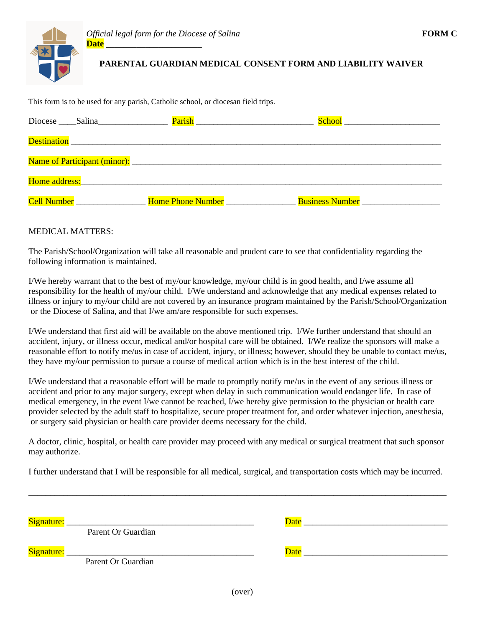## **PARENTAL GUARDIAN MEDICAL CONSENT FORM AND LIABILITY WAIVER**

This form is to be used for any parish, Catholic school, or diocesan field trips.

| Diocese Salina                                                                                                 | <b>Parish Exercise Exercise 2018</b> |                                        |
|----------------------------------------------------------------------------------------------------------------|--------------------------------------|----------------------------------------|
|                                                                                                                |                                      |                                        |
|                                                                                                                |                                      |                                        |
| Home address: Note that the same state of the state of the state of the state of the state of the state of the |                                      |                                        |
| Cell Number                                                                                                    | Home Phone Number                    | Business Number<br><u>Example</u> 2021 |

## MEDICAL MATTERS:

The Parish/School/Organization will take all reasonable and prudent care to see that confidentiality regarding the following information is maintained.

I/We hereby warrant that to the best of my/our knowledge, my/our child is in good health, and I/we assume all responsibility for the health of my/our child. I/We understand and acknowledge that any medical expenses related to illness or injury to my/our child are not covered by an insurance program maintained by the Parish/School/Organization or the Diocese of Salina, and that I/we am/are responsible for such expenses.

I/We understand that first aid will be available on the above mentioned trip. I/We further understand that should an accident, injury, or illness occur, medical and/or hospital care will be obtained. I/We realize the sponsors will make a reasonable effort to notify me/us in case of accident, injury, or illness; however, should they be unable to contact me/us, they have my/our permission to pursue a course of medical action which is in the best interest of the child.

I/We understand that a reasonable effort will be made to promptly notify me/us in the event of any serious illness or accident and prior to any major surgery, except when delay in such communication would endanger life. In case of medical emergency, in the event I/we cannot be reached, I/we hereby give permission to the physician or health care provider selected by the adult staff to hospitalize, secure proper treatment for, and order whatever injection, anesthesia, or surgery said physician or health care provider deems necessary for the child.

A doctor, clinic, hospital, or health care provider may proceed with any medical or surgical treatment that such sponsor may authorize.

I further understand that I will be responsible for all medical, surgical, and transportation costs which may be incurred.

\_\_\_\_\_\_\_\_\_\_\_\_\_\_\_\_\_\_\_\_\_\_\_\_\_\_\_\_\_\_\_\_\_\_\_\_\_\_\_\_\_\_\_\_\_\_\_\_\_\_\_\_\_\_\_\_\_\_\_\_\_\_\_\_\_\_\_\_\_\_\_\_\_\_\_\_\_\_\_\_\_\_\_\_\_\_\_\_\_\_\_\_\_\_\_\_

| Signature: | Parent Or Guardian                                                                                                                         | Date |
|------------|--------------------------------------------------------------------------------------------------------------------------------------------|------|
| Signature: | <u> 2000 - 2000 - 2000 - 2000 - 2000 - 2000 - 2000 - 2000 - 2000 - 2000 - 2000 - 2000 - 2000 - 2000 - 2000 - 200</u><br>Parent Or Guardian | Date |